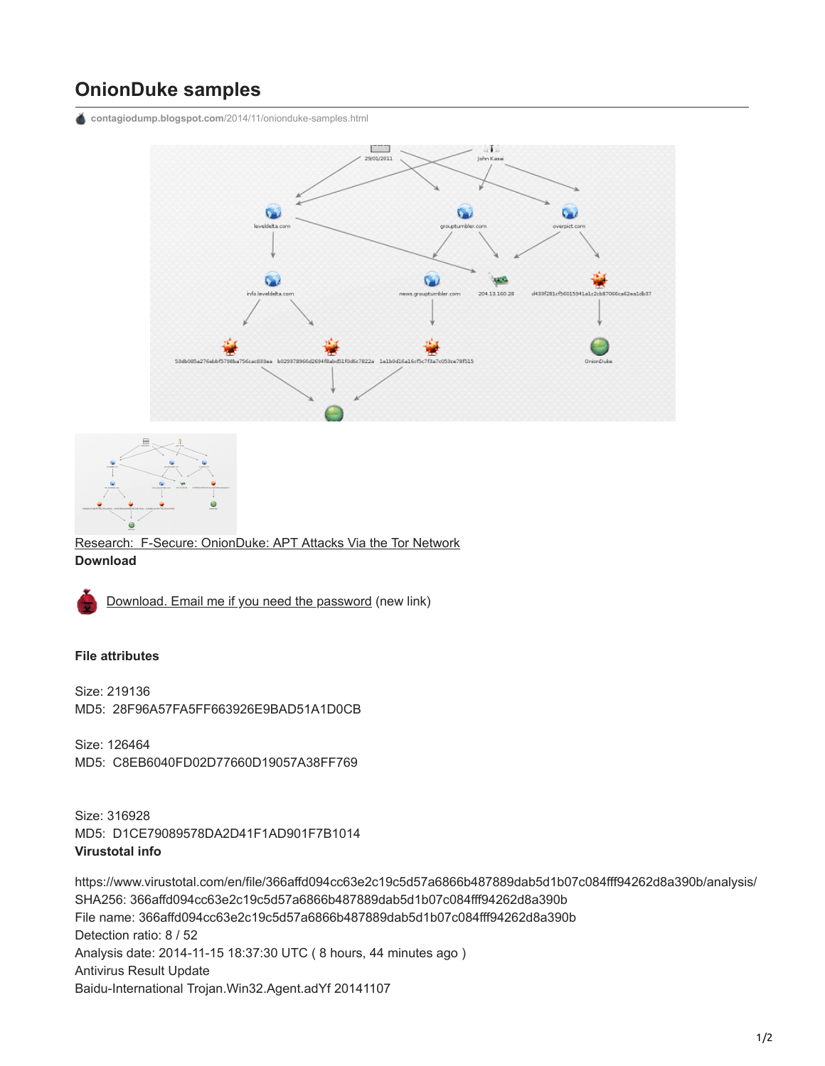## **OnionDuke samples**

**contagiodump.blogspot.com**[/2014/11/onionduke-samples.html](http://contagiodump.blogspot.com/2014/11/onionduke-samples.html)





[Research: F-Secure: OnionDuke: APT Attacks Via the Tor Network](http://www.f-secure.com/weblog/archives/00002764.html) **Download**



[Download. Email me if you need the password](https://www.dropbox.com/s/ml79ionelt0gocf/Onionduke.zip?dl=0) (new link)

## **File attributes**

Size: 219136 MD5: 28F96A57FA5FF663926E9BAD51A1D0CB

Size: 126464 MD5: C8EB6040FD02D77660D19057A38FF769

Size: 316928 MD5: D1CE79089578DA2D41F1AD901F7B1014 **Virustotal info**

https://www.virustotal.com/en/file/366affd094cc63e2c19c5d57a6866b487889dab5d1b07c084fff94262d8a390b/analysis/ SHA256: 366affd094cc63e2c19c5d57a6866b487889dab5d1b07c084fff94262d8a390b File name: 366affd094cc63e2c19c5d57a6866b487889dab5d1b07c084fff94262d8a390b Detection ratio: 8 / 52 Analysis date: 2014-11-15 18:37:30 UTC ( 8 hours, 44 minutes ago ) Antivirus Result Update Baidu-International Trojan.Win32.Agent.adYf 20141107